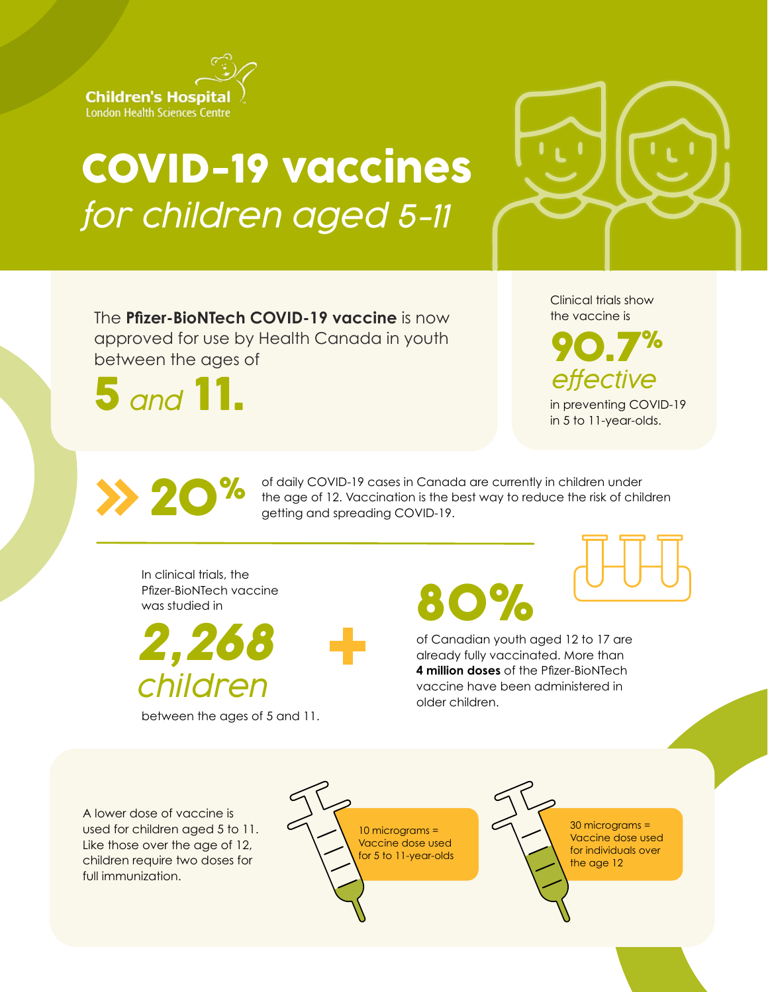

## COVID-19 vaccines *for children aged 5-11*



The **Pfizer-BioNTech COVID-19 vaccine** is now approved for use by Health Canada in youth between the ages of

5 *and* 11.

Clinical trials show the vaccine is

90.7% *effective* in preventing COVID-19

in 5 to 11-year-olds.

of daily COVID-19 cases in Canada are currently in children under The age of 12. Vaccination is the best way to reduce the risk of children and spreading COVID-19.

In clinical trials, the Pfizer-BioNTech vaccine was studied in

%

*2,268 children*

between the ages of 5 and 11.

80%

of Canadian youth aged 12 to 17 are already fully vaccinated. More than **4 million doses** of the Pfizer-BioNTech vaccine have been administered in older children.

A lower dose of vaccine is used for children aged 5 to 11. Like those over the age of 12, children require two doses for full immunization.



30 micrograms = Vaccine dose used for individuals over the age 12